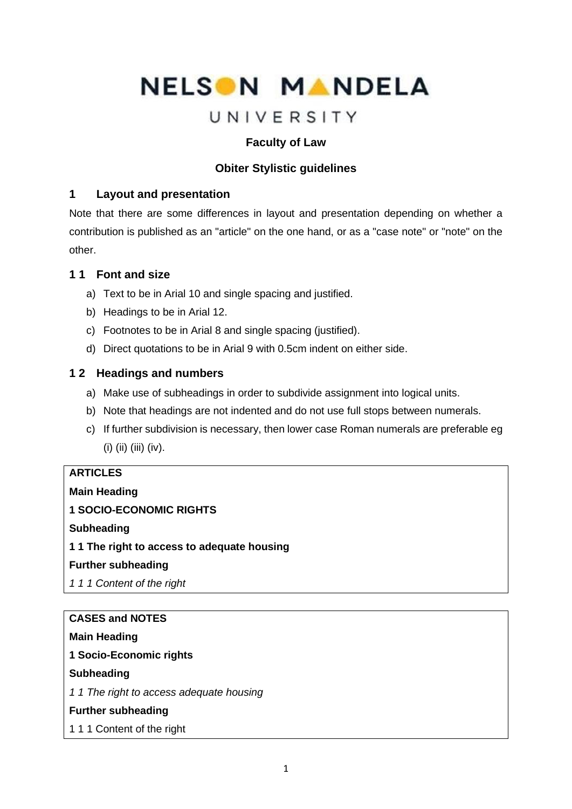# NELSON MANDELA

## UNIVERSITY

## **Faculty of Law**

## **Obiter Stylistic guidelines**

## **1 Layout and presentation**

Note that there are some differences in layout and presentation depending on whether a contribution is published as an "article" on the one hand, or as a "case note" or "note" on the other.

## **1 1 Font and size**

- a) Text to be in Arial 10 and single spacing and justified.
- b) Headings to be in Arial 12.
- c) Footnotes to be in Arial 8 and single spacing (justified).
- d) Direct quotations to be in Arial 9 with 0.5cm indent on either side.

## **1 2 Headings and numbers**

- a) Make use of subheadings in order to subdivide assignment into logical units.
- b) Note that headings are not indented and do not use full stops between numerals.
- c) If further subdivision is necessary, then lower case Roman numerals are preferable eg (i) (ii) (iii) (iv).

## **ARTICLES**

**Main Heading**

**1 SOCIO-ECONOMIC RIGHTS**

**Subheading**

**1 1 The right to access to adequate housing**

### **Further subheading**

*1 1 1 Content of the right*

## **CASES and NOTES**

**Main Heading** 

**1 Socio-Economic rights**

### **Subheading**

*1 1 The right to access adequate housing*

### **Further subheading**

1 1 1 Content of the right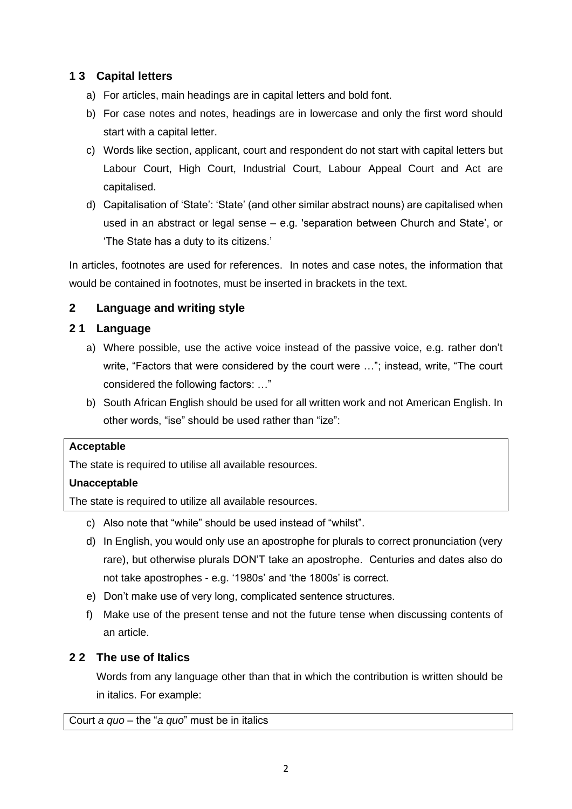## **1 3 Capital letters**

- a) For articles, main headings are in capital letters and bold font.
- b) For case notes and notes, headings are in lowercase and only the first word should start with a capital letter.
- c) Words like section, applicant, court and respondent do not start with capital letters but Labour Court, High Court, Industrial Court, Labour Appeal Court and Act are capitalised.
- d) Capitalisation of 'State': 'State' (and other similar abstract nouns) are capitalised when used in an abstract or legal sense – e.g. 'separation between Church and State', or 'The State has a duty to its citizens.'

In articles, footnotes are used for references. In notes and case notes, the information that would be contained in footnotes, must be inserted in brackets in the text.

## **2 Language and writing style**

## **2 1 Language**

- a) Where possible, use the active voice instead of the passive voice, e.g. rather don't write, "Factors that were considered by the court were …"; instead, write, "The court considered the following factors: …"
- b) South African English should be used for all written work and not American English. In other words, "ise" should be used rather than "ize":

### **Acceptable**

The state is required to utilise all available resources.

## **Unacceptable**

The state is required to utilize all available resources.

- c) Also note that "while" should be used instead of "whilst".
- d) In English, you would only use an apostrophe for plurals to correct pronunciation (very rare), but otherwise plurals DON'T take an apostrophe. Centuries and dates also do not take apostrophes - e.g. '1980s' and 'the 1800s' is correct.
- e) Don't make use of very long, complicated sentence structures.
- f) Make use of the present tense and not the future tense when discussing contents of an article.

## **2 2 The use of Italics**

Words from any language other than that in which the contribution is written should be in italics. For example:

Court *a quo* – the "*a quo*" must be in italics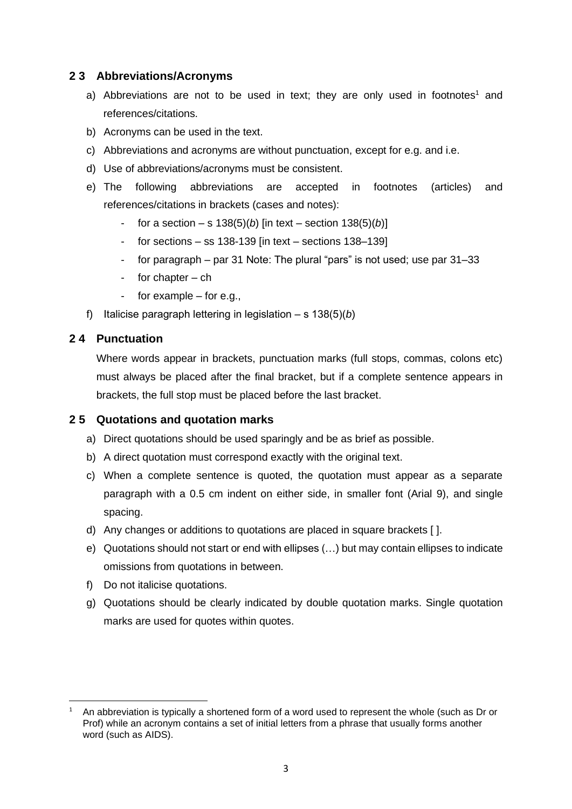### **2 3 Abbreviations/Acronyms**

- a) Abbreviations are not to be used in text; they are only used in footnotes<sup>1</sup> and references/citations.
- b) Acronyms can be used in the text.
- c) Abbreviations and acronyms are without punctuation, except for e.g. and i.e.
- d) Use of abbreviations/acronyms must be consistent.
- e) The following abbreviations are accepted in footnotes (articles) and references/citations in brackets (cases and notes):
	- for a section  $-$  s 138(5)(*b*) [in text section 138(5)(*b*)]
	- for sections  $-$  ss 138-139 [in text  $-$  sections 138-139]
	- for paragraph par 31 Note: The plural "pars" is not used; use par 31–33
	- for chapter  $-$  ch
	- for example  $-$  for e.g.,
- f) Italicise paragraph lettering in legislation ‒ s 138(5)(*b*)

#### **2 4 Punctuation**

Where words appear in brackets, punctuation marks (full stops, commas, colons etc) must always be placed after the final bracket, but if a complete sentence appears in brackets, the full stop must be placed before the last bracket.

### **2 5 Quotations and quotation marks**

- a) Direct quotations should be used sparingly and be as brief as possible.
- b) A direct quotation must correspond exactly with the original text.
- c) When a complete sentence is quoted, the quotation must appear as a separate paragraph with a 0.5 cm indent on either side, in smaller font (Arial 9), and single spacing.
- d) Any changes or additions to quotations are placed in square brackets [ ].
- e) Quotations should not start or end with ellipses (…) but may contain ellipses to indicate omissions from quotations in between.
- f) Do not italicise quotations.
- g) Quotations should be clearly indicated by double quotation marks. Single quotation marks are used for quotes within quotes.

<sup>1</sup> An abbreviation is typically a shortened form of a word used to represent the whole (such as Dr or Prof) while an acronym contains a set of initial letters from a phrase that usually forms another word (such as AIDS).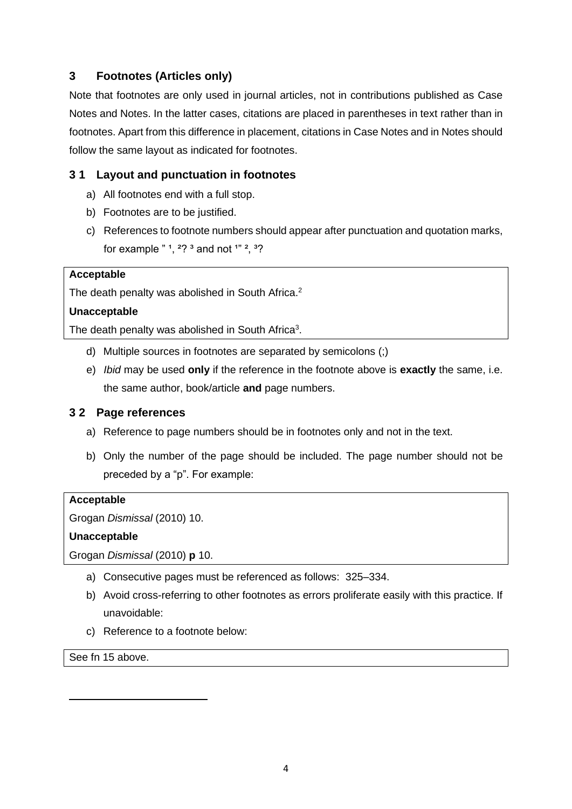## **3 Footnotes (Articles only)**

Note that footnotes are only used in journal articles, not in contributions published as Case Notes and Notes. In the latter cases, citations are placed in parentheses in text rather than in footnotes. Apart from this difference in placement, citations in Case Notes and in Notes should follow the same layout as indicated for footnotes.

## **3 1 Layout and punctuation in footnotes**

- a) All footnotes end with a full stop.
- b) Footnotes are to be justified.
- c) References to footnote numbers should appear after punctuation and quotation marks, for example  $" 1, 2? 3$  and not  $1" 2, 3?$

#### **Acceptable**

The death penalty was abolished in South Africa.<sup>2</sup>

#### **Unacceptable**

The death penalty was abolished in South Africa $3$ .

- d) Multiple sources in footnotes are separated by semicolons (;)
- e) *Ibid* may be used **only** if the reference in the footnote above is **exactly** the same, i.e. the same author, book/article **and** page numbers.

#### **3 2 Page references**

- a) Reference to page numbers should be in footnotes only and not in the text.
- b) Only the number of the page should be included. The page number should not be preceded by a "p". For example:

#### **Acceptable**

Grogan *Dismissal* (2010) 10.

#### **Unacceptable**

Grogan *Dismissal* (2010) **p** 10.

- a) Consecutive pages must be referenced as follows: 325–334.
- b) Avoid cross-referring to other footnotes as errors proliferate easily with this practice. If unavoidable:
- c) Reference to a footnote below:

See fn 15 above.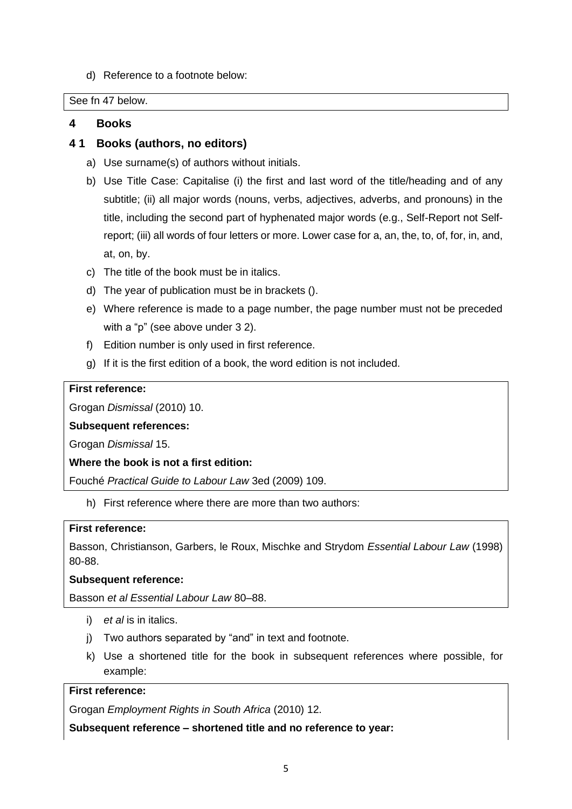d) Reference to a footnote below:

See fn 47 below.

#### **4 Books**

#### **4 1 Books (authors, no editors)**

- a) Use surname(s) of authors without initials.
- b) Use Title Case: Capitalise (i) the first and last word of the title/heading and of any subtitle; (ii) all major words (nouns, verbs, adjectives, adverbs, and pronouns) in the title, including the second part of hyphenated major words (e.g., Self-Report not Selfreport; (iii) all words of four letters or more. Lower case for a, an, the, to, of, for, in, and, at, on, by.
- c) The title of the book must be in italics.
- d) The year of publication must be in brackets ().
- e) Where reference is made to a page number, the page number must not be preceded with a "p" (see above under 3 2).
- f) Edition number is only used in first reference.
- g) If it is the first edition of a book, the word edition is not included.

#### **First reference:**

Grogan *Dismissal* (2010) 10.

#### **Subsequent references:**

Grogan *Dismissal* 15.

**Where the book is not a first edition:**

Fouché *Practical Guide to Labour Law* 3ed (2009) 109.

h) First reference where there are more than two authors:

#### **First reference:**

Basson, Christianson, Garbers, le Roux, Mischke and Strydom *Essential Labour Law* (1998) 80-88.

#### **Subsequent reference:**

Basson *et al Essential Labour Law* 80–88.

- i) *et al* is in italics.
- j) Two authors separated by "and" in text and footnote.
- k) Use a shortened title for the book in subsequent references where possible, for example:

#### **First reference:**

Grogan *Employment Rights in South Africa* (2010) 12.

**Subsequent reference – shortened title and no reference to year:**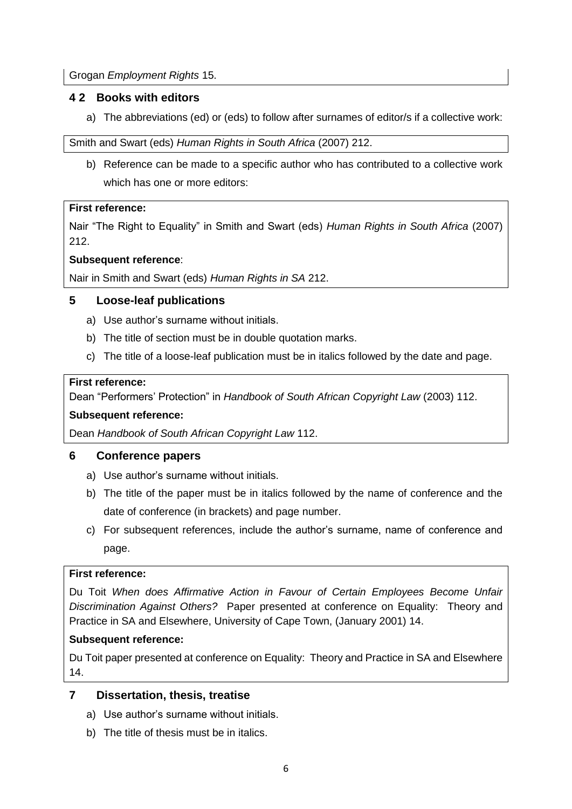Grogan *Employment Rights* 15.

## **4 2 Books with editors**

a) The abbreviations (ed) or (eds) to follow after surnames of editor/s if a collective work:

Smith and Swart (eds) *Human Rights in South Africa* (2007) 212.

b) Reference can be made to a specific author who has contributed to a collective work which has one or more editors:

#### **First reference:**

Nair "The Right to Equality" in Smith and Swart (eds) *Human Rights in South Africa* (2007) 212.

### **Subsequent reference**:

Nair in Smith and Swart (eds) *Human Rights in SA* 212.

## **5 Loose-leaf publications**

- a) Use author's surname without initials.
- b) The title of section must be in double quotation marks.
- c) The title of a loose-leaf publication must be in italics followed by the date and page.

#### **First reference:**

Dean "Performers' Protection" in *Handbook of South African Copyright Law* (2003) 112.

### **Subsequent reference:**

Dean *Handbook of South African Copyright Law* 112.

### **6 Conference papers**

- a) Use author's surname without initials.
- b) The title of the paper must be in italics followed by the name of conference and the date of conference (in brackets) and page number.
- c) For subsequent references, include the author's surname, name of conference and page.

#### **First reference:**

Du Toit *When does Affirmative Action in Favour of Certain Employees Become Unfair Discrimination Against Others?* Paper presented at conference on Equality: Theory and Practice in SA and Elsewhere, University of Cape Town, (January 2001) 14.

### **Subsequent reference:**

Du Toit paper presented at conference on Equality: Theory and Practice in SA and Elsewhere 14.

### **7 Dissertation, thesis, treatise**

- a) Use author's surname without initials.
- b) The title of thesis must be in italics.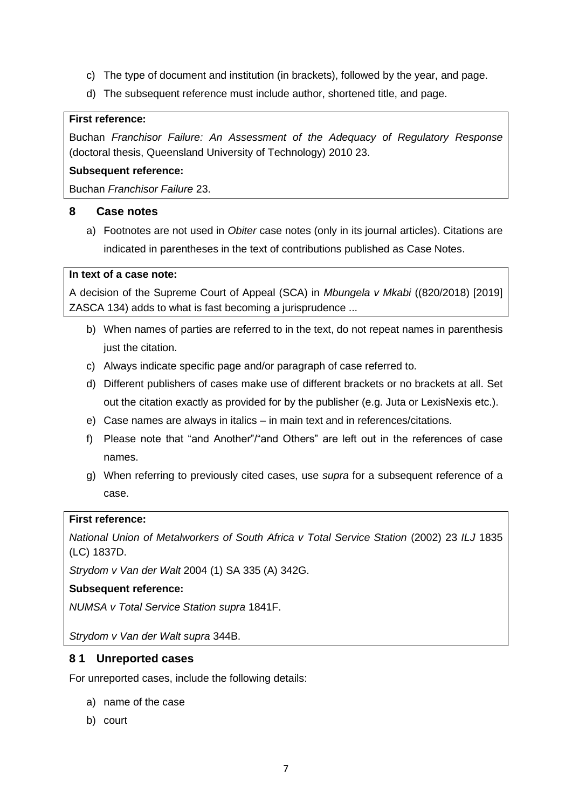- c) The type of document and institution (in brackets), followed by the year, and page.
- d) The subsequent reference must include author, shortened title, and page.

#### **First reference:**

Buchan *Franchisor Failure: An Assessment of the Adequacy of Regulatory Response* (doctoral thesis, Queensland University of Technology) 2010 23.

#### **Subsequent reference:**

Buchan *Franchisor Failure* 23.

#### **8 Case notes**

a) Footnotes are not used in *Obiter* case notes (only in its journal articles). Citations are indicated in parentheses in the text of contributions published as Case Notes.

#### **In text of a case note:**

A decision of the Supreme Court of Appeal (SCA) in *Mbungela v Mkabi* ((820/2018) [2019] ZASCA 134) adds to what is fast becoming a jurisprudence ...

- b) When names of parties are referred to in the text, do not repeat names in parenthesis just the citation.
- c) Always indicate specific page and/or paragraph of case referred to.
- d) Different publishers of cases make use of different brackets or no brackets at all. Set out the citation exactly as provided for by the publisher (e.g. Juta or LexisNexis etc.).
- e) Case names are always in italics in main text and in references/citations.
- f) Please note that "and Another"/"and Others" are left out in the references of case names.
- g) When referring to previously cited cases, use *supra* for a subsequent reference of a case.

#### **First reference:**

*National Union of Metalworkers of South Africa v Total Service Station (2002) 23 ILJ 1835* (LC) 1837D.

*Strydom v Van der Walt* 2004 (1) SA 335 (A) 342G.

#### **Subsequent reference:**

*NUMSA v Total Service Station supra* 1841F.

*Strydom v Van der Walt supra* 344B.

#### **8 1 Unreported cases**

For unreported cases, include the following details:

- a) name of the case
- b) court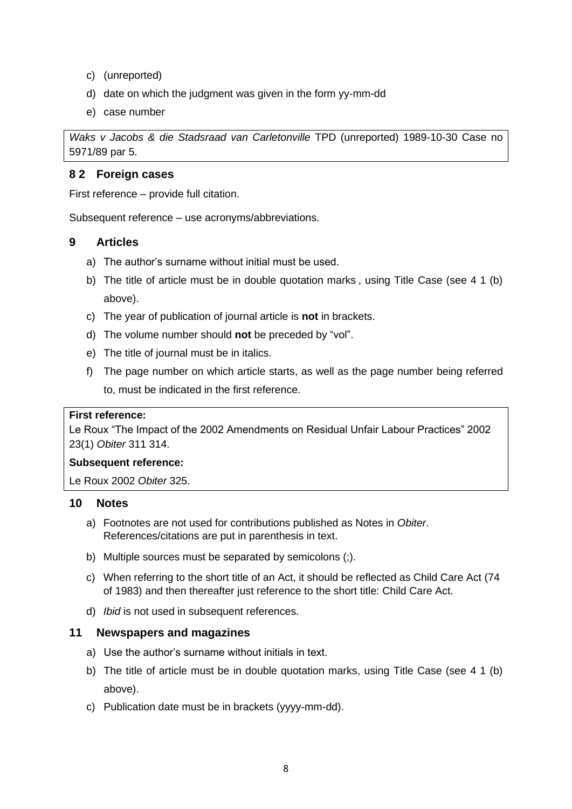- c) (unreported)
- d) date on which the judgment was given in the form yy-mm-dd
- e) case number

*Waks v Jacobs & die Stadsraad van Carletonville* TPD (unreported) 1989-10-30 Case no 5971/89 par 5.

#### **8 2 Foreign cases**

First reference – provide full citation.

Subsequent reference – use acronyms/abbreviations.

#### **9 Articles**

- a) The author's surname without initial must be used.
- b) The title of article must be in double quotation marks , using Title Case (see 4 1 (b) above).
- c) The year of publication of journal article is **not** in brackets.
- d) The volume number should **not** be preceded by "vol".
- e) The title of journal must be in italics.
- f) The page number on which article starts, as well as the page number being referred to, must be indicated in the first reference.

#### **First reference:**

Le Roux "The Impact of the 2002 Amendments on Residual Unfair Labour Practices" 2002 23(1) *Obiter* 311 314.

#### **Subsequent reference:**

Le Roux 2002 *Obiter* 325.

#### **10 Notes**

- a) Footnotes are not used for contributions published as Notes in *Obiter*. References/citations are put in parenthesis in text.
- b) Multiple sources must be separated by semicolons (;).
- c) When referring to the short title of an Act, it should be reflected as Child Care Act (74 of 1983) and then thereafter just reference to the short title: Child Care Act.
- d) *Ibid* is not used in subsequent references.

#### **11 Newspapers and magazines**

- a) Use the author's surname without initials in text.
- b) The title of article must be in double quotation marks, using Title Case (see 4 1 (b) above).
- c) Publication date must be in brackets (yyyy-mm-dd).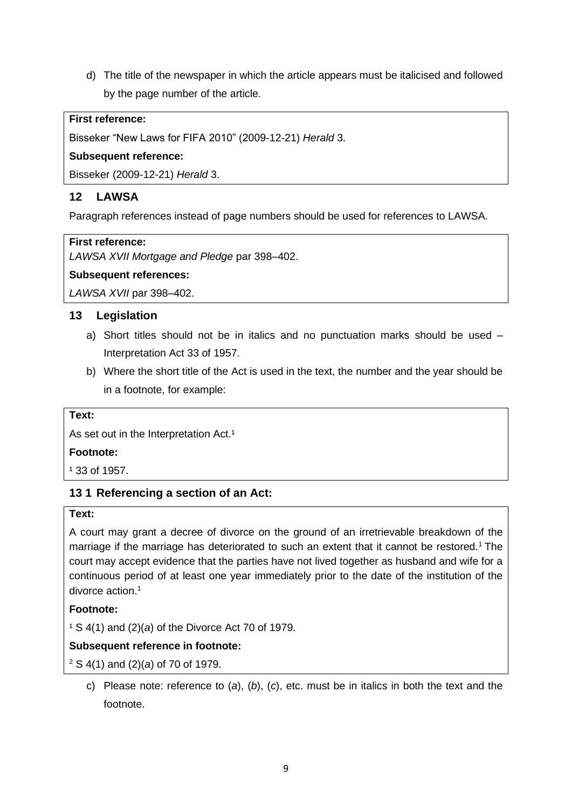d) The title of the newspaper in which the article appears must be italicised and followed by the page number of the article.

#### **First reference:**

Bisseker "New Laws for FIFA 2010" (2009-12-21) *Herald* 3.

#### **Subsequent reference:**

Bisseker (2009-12-21) *Herald* 3.

## **12 LAWSA**

Paragraph references instead of page numbers should be used for references to LAWSA.

#### **First reference:**

*LAWSA XVII Mortgage and Pledge* par 398‒402.

#### **Subsequent references:**

*LAWSA XVII* par 398-402.

### **13 Legislation**

- a) Short titles should not be in italics and no punctuation marks should be used  $-$ Interpretation Act 33 of 1957.
- b) Where the short title of the Act is used in the text, the number and the year should be in a footnote, for example:

#### **Text:**

As set out in the Interpretation Act.<sup>1</sup>

#### **Footnote:**

 $1,33$  of 1957.

### **13 1 Referencing a section of an Act:**

#### **Text:**

A court may grant a decree of divorce on the ground of an irretrievable breakdown of the marriage if the marriage has deteriorated to such an extent that it cannot be restored.<sup>1</sup> The court may accept evidence that the parties have not lived together as husband and wife for a continuous period of at least one year immediately prior to the date of the institution of the divorce action.<sup>1</sup>

#### **Footnote:**

¹ S 4(1) and (2)(*a*) of the Divorce Act 70 of 1979.

### **Subsequent reference in footnote:**

<sup>2</sup> S 4(1) and (2)(*a*) of 70 of 1979.

c) Please note: reference to (*a*), (*b*), (*c*), etc. must be in italics in both the text and the footnote.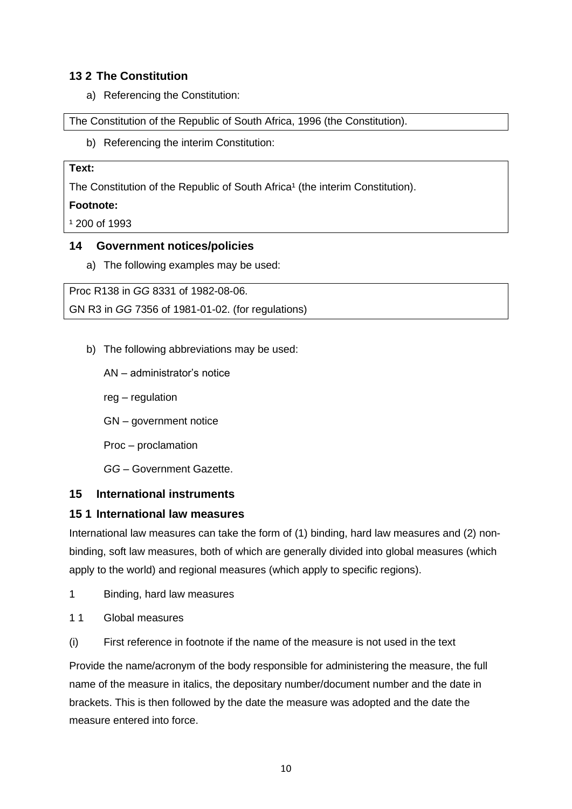## **13 2 The Constitution**

a) Referencing the Constitution:

The Constitution of the Republic of South Africa, 1996 (the Constitution).

b) Referencing the interim Constitution:

#### **Text:**

The Constitution of the Republic of South Africa<sup>1</sup> (the interim Constitution).

#### **Footnote:**

 $1200$  of 1993

#### **14 Government notices/policies**

a) The following examples may be used:

Proc R138 in *GG* 8331 of 1982-08-06. GN R3 in *GG* 7356 of 1981-01-02. (for regulations)

- b) The following abbreviations may be used:
	- AN administrator's notice
	- reg regulation
	- GN government notice
	- Proc proclamation
	- *GG* Government Gazette.

### **15 International instruments**

### **15 1 International law measures**

International law measures can take the form of (1) binding, hard law measures and (2) nonbinding, soft law measures, both of which are generally divided into global measures (which apply to the world) and regional measures (which apply to specific regions).

- 1 Binding, hard law measures
- 11 Global measures
- (i) First reference in footnote if the name of the measure is not used in the text

Provide the name/acronym of the body responsible for administering the measure, the full name of the measure in italics, the depositary number/document number and the date in brackets. This is then followed by the date the measure was adopted and the date the measure entered into force.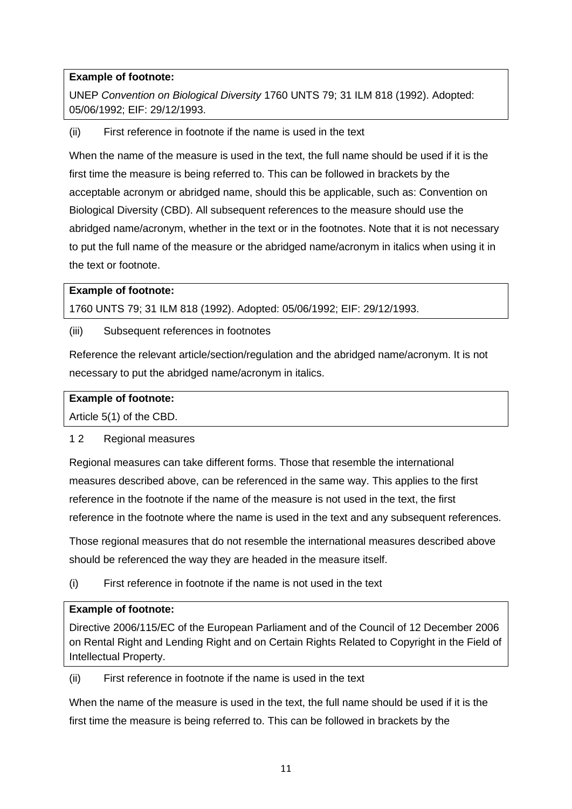## **Example of footnote:**

UNEP *Convention on Biological Diversity* 1760 UNTS 79; 31 ILM 818 (1992). Adopted: 05/06/1992; EIF: 29/12/1993.

(ii) First reference in footnote if the name is used in the text

When the name of the measure is used in the text, the full name should be used if it is the first time the measure is being referred to. This can be followed in brackets by the acceptable acronym or abridged name, should this be applicable, such as: Convention on Biological Diversity (CBD). All subsequent references to the measure should use the abridged name/acronym, whether in the text or in the footnotes. Note that it is not necessary to put the full name of the measure or the abridged name/acronym in italics when using it in the text or footnote.

#### **Example of footnote:**

1760 UNTS 79; 31 ILM 818 (1992). Adopted: 05/06/1992; EIF: 29/12/1993.

(iii) Subsequent references in footnotes

Reference the relevant article/section/regulation and the abridged name/acronym. It is not necessary to put the abridged name/acronym in italics.

#### **Example of footnote:**

Article 5(1) of the CBD.

#### 1 2 Regional measures

Regional measures can take different forms. Those that resemble the international measures described above, can be referenced in the same way. This applies to the first reference in the footnote if the name of the measure is not used in the text, the first reference in the footnote where the name is used in the text and any subsequent references.

Those regional measures that do not resemble the international measures described above should be referenced the way they are headed in the measure itself.

(i) First reference in footnote if the name is not used in the text

#### **Example of footnote:**

Directive 2006/115/EC of the European Parliament and of the Council of 12 December 2006 on Rental Right and Lending Right and on Certain Rights Related to Copyright in the Field of Intellectual Property.

(ii) First reference in footnote if the name is used in the text

When the name of the measure is used in the text, the full name should be used if it is the first time the measure is being referred to. This can be followed in brackets by the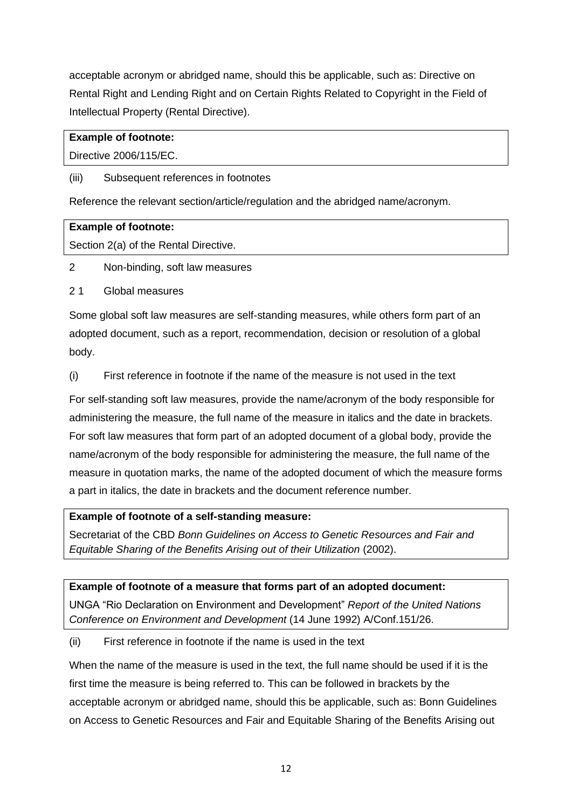acceptable acronym or abridged name, should this be applicable, such as: Directive on Rental Right and Lending Right and on Certain Rights Related to Copyright in the Field of Intellectual Property (Rental Directive).

### **Example of footnote:**

Directive 2006/115/EC.

#### (iii) Subsequent references in footnotes

Reference the relevant section/article/regulation and the abridged name/acronym.

#### **Example of footnote:**

Section 2(a) of the Rental Directive.

2 Non-binding, soft law measures

#### 2 1 Global measures

Some global soft law measures are self-standing measures, while others form part of an adopted document, such as a report, recommendation, decision or resolution of a global body.

(i) First reference in footnote if the name of the measure is not used in the text

For self-standing soft law measures, provide the name/acronym of the body responsible for administering the measure, the full name of the measure in italics and the date in brackets. For soft law measures that form part of an adopted document of a global body, provide the name/acronym of the body responsible for administering the measure, the full name of the measure in quotation marks, the name of the adopted document of which the measure forms a part in italics, the date in brackets and the document reference number.

## **Example of footnote of a self-standing measure:**

Secretariat of the CBD *Bonn Guidelines on Access to Genetic Resources and Fair and Equitable Sharing of the Benefits Arising out of their Utilization* (2002).

### **Example of footnote of a measure that forms part of an adopted document:**

UNGA "Rio Declaration on Environment and Development" *Report of the United Nations Conference on Environment and Development* (14 June 1992) A/Conf.151/26.

(ii) First reference in footnote if the name is used in the text

When the name of the measure is used in the text, the full name should be used if it is the first time the measure is being referred to. This can be followed in brackets by the acceptable acronym or abridged name, should this be applicable, such as: Bonn Guidelines on Access to Genetic Resources and Fair and Equitable Sharing of the Benefits Arising out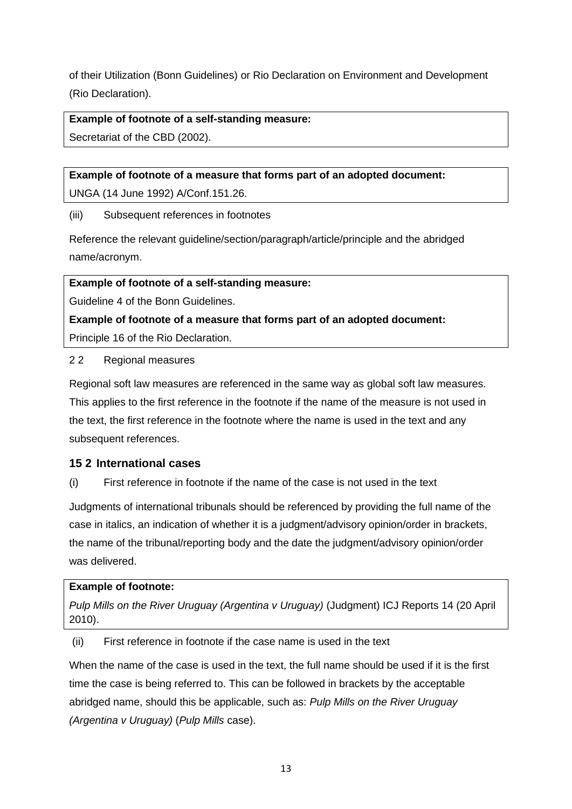of their Utilization (Bonn Guidelines) or Rio Declaration on Environment and Development (Rio Declaration).

#### **Example of footnote of a self-standing measure:**

Secretariat of the CBD (2002).

#### **Example of footnote of a measure that forms part of an adopted document:**

UNGA (14 June 1992) A/Conf.151.26.

#### (iii) Subsequent references in footnotes

Reference the relevant guideline/section/paragraph/article/principle and the abridged name/acronym.

#### **Example of footnote of a self-standing measure:**

Guideline 4 of the Bonn Guidelines.

#### **Example of footnote of a measure that forms part of an adopted document:**

Principle 16 of the Rio Declaration.

#### 2 2 Regional measures

Regional soft law measures are referenced in the same way as global soft law measures. This applies to the first reference in the footnote if the name of the measure is not used in the text, the first reference in the footnote where the name is used in the text and any subsequent references.

### **15 2 International cases**

(i) First reference in footnote if the name of the case is not used in the text

Judgments of international tribunals should be referenced by providing the full name of the case in italics, an indication of whether it is a judgment/advisory opinion/order in brackets, the name of the tribunal/reporting body and the date the judgment/advisory opinion/order was delivered.

#### **Example of footnote:**

*Pulp Mills on the River Uruguay (Argentina v Uruguay)* (Judgment) ICJ Reports 14 (20 April 2010).

(ii) First reference in footnote if the case name is used in the text

When the name of the case is used in the text, the full name should be used if it is the first time the case is being referred to. This can be followed in brackets by the acceptable abridged name, should this be applicable, such as: *Pulp Mills on the River Uruguay (Argentina v Uruguay)* (*Pulp Mills* case).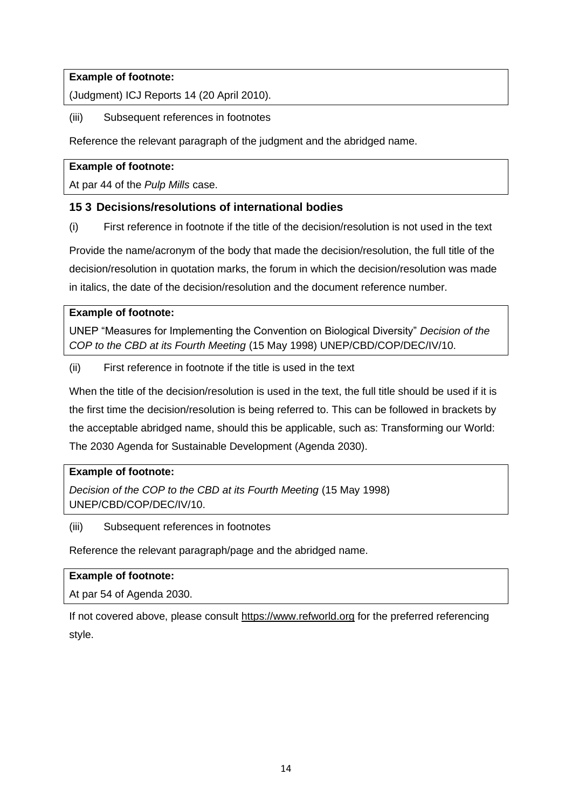## **Example of footnote:**

(Judgment) ICJ Reports 14 (20 April 2010).

## (iii) Subsequent references in footnotes

Reference the relevant paragraph of the judgment and the abridged name.

## **Example of footnote:**

At par 44 of the *Pulp Mills* case.

## **15 3 Decisions/resolutions of international bodies**

(i) First reference in footnote if the title of the decision/resolution is not used in the text

Provide the name/acronym of the body that made the decision/resolution, the full title of the decision/resolution in quotation marks, the forum in which the decision/resolution was made in italics, the date of the decision/resolution and the document reference number.

### **Example of footnote:**

UNEP "Measures for Implementing the Convention on Biological Diversity" *Decision of the COP to the CBD at its Fourth Meeting* (15 May 1998) UNEP/CBD/COP/DEC/IV/10.

(ii) First reference in footnote if the title is used in the text

When the title of the decision/resolution is used in the text, the full title should be used if it is the first time the decision/resolution is being referred to. This can be followed in brackets by the acceptable abridged name, should this be applicable, such as: Transforming our World: The 2030 Agenda for Sustainable Development (Agenda 2030).

## **Example of footnote:**

*Decision of the COP to the CBD at its Fourth Meeting* (15 May 1998) UNEP/CBD/COP/DEC/IV/10.

### (iii) Subsequent references in footnotes

Reference the relevant paragraph/page and the abridged name.

### **Example of footnote:**

At par 54 of Agenda 2030.

If not covered above, please consult [https://www.refworld.org](https://www.refworld.org/) for the preferred referencing style.